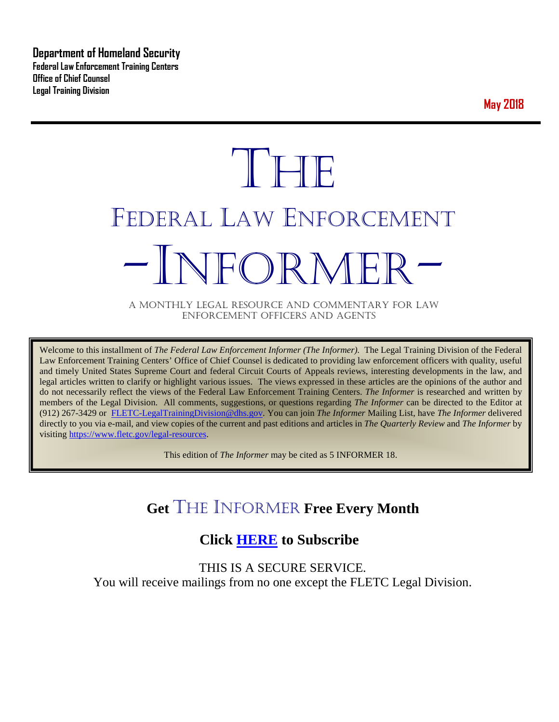**Department of Homeland Security Federal Law Enforcement Training Centers Office of Chief Counsel Legal Training Division** 

**May 2018**

# **THE** FEDERAL LAW ENFORCEMENT -INFORMER- A MONTHLY LEGAL RESOURCE AND COMMENTARY FOR LAW

ENFORCEMENT OFFICERS AND AGENTS

Welcome to this installment of *The Federal Law Enforcement Informer (The Informer).* The Legal Training Division of the Federal Law Enforcement Training Centers' Office of Chief Counsel is dedicated to providing law enforcement officers with quality, useful and timely United States Supreme Court and federal Circuit Courts of Appeals reviews, interesting developments in the law, and legal articles written to clarify or highlight various issues. The views expressed in these articles are the opinions of the author and do not necessarily reflect the views of the Federal Law Enforcement Training Centers. *The Informer* is researched and written by members of the Legal Division. All comments, suggestions, or questions regarding *The Informer* can be directed to the Editor at (912) 267-3429 or [FLETC-LegalTrainingDivision@dhs.gov.](mailto:FLETC-LegalTrainingDivision@dhs.gov) You can join *The Informer* Mailing List, have *The Informer* delivered directly to you via e-mail, and view copies of the current and past editions and articles in *The Quarterly Review* and *The Informer* by visiting [https://www.fletc.gov/legal-resources.](https://www.fletc.gov/legal-resources) 

This edition of *The Informer* may be cited as 5 INFORMER 18.

# **Get** THE INFORMER **Free Every Month**

# **Click [HERE](https://app.co-sender.com/opt-in/list/7b007eab-378b-4542-807f-44d6de94cb7e) to Subscribe**

THIS IS A SECURE SERVICE. You will receive mailings from no one except the FLETC Legal Division.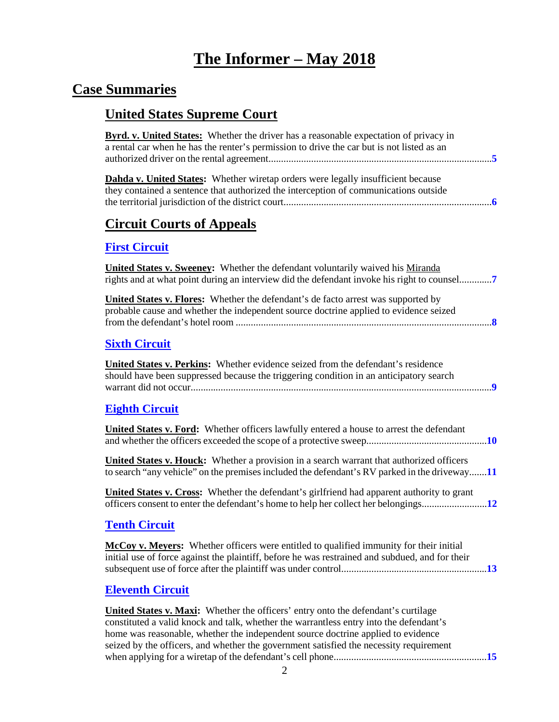# **The Informer – May 2018**

# **Case Summaries**

# **United States Supreme Court**

| <b>Byrd. v. United States:</b> Whether the driver has a reasonable expectation of privacy in<br>a rental car when he has the renter's permission to drive the car but is not listed as an                                                                                                                                                                        |
|------------------------------------------------------------------------------------------------------------------------------------------------------------------------------------------------------------------------------------------------------------------------------------------------------------------------------------------------------------------|
| <b>Dahda v. United States:</b> Whether wiretap orders were legally insufficient because<br>they contained a sentence that authorized the interception of communications outside                                                                                                                                                                                  |
| <b>Circuit Courts of Appeals</b>                                                                                                                                                                                                                                                                                                                                 |
| <b>First Circuit</b>                                                                                                                                                                                                                                                                                                                                             |
| <b>United States v. Sweeney:</b> Whether the defendant voluntarily waived his Miranda<br>rights and at what point during an interview did the defendant invoke his right to counsel                                                                                                                                                                              |
| <b>United States v. Flores:</b> Whether the defendant's de facto arrest was supported by<br>probable cause and whether the independent source doctrine applied to evidence seized                                                                                                                                                                                |
| <b>Sixth Circuit</b>                                                                                                                                                                                                                                                                                                                                             |
| United States v. Perkins: Whether evidence seized from the defendant's residence<br>should have been suppressed because the triggering condition in an anticipatory search                                                                                                                                                                                       |
| <b>Eighth Circuit</b>                                                                                                                                                                                                                                                                                                                                            |
| <b>United States v. Ford:</b> Whether officers lawfully entered a house to arrest the defendant                                                                                                                                                                                                                                                                  |
| <b>United States v. Houck:</b> Whether a provision in a search warrant that authorized officers<br>to search "any vehicle" on the premises included the defendant's RV parked in the driveway11                                                                                                                                                                  |
| United States v. Cross: Whether the defendant's girlfriend had apparent authority to grant                                                                                                                                                                                                                                                                       |
| <b>Tenth Circuit</b>                                                                                                                                                                                                                                                                                                                                             |
| <b>McCoy v. Meyers:</b> Whether officers were entitled to qualified immunity for their initial<br>initial use of force against the plaintiff, before he was restrained and subdued, and for their                                                                                                                                                                |
| <b>Eleventh Circuit</b>                                                                                                                                                                                                                                                                                                                                          |
| <b>United States v. Maxi:</b> Whether the officers' entry onto the defendant's curtilage<br>constituted a valid knock and talk, whether the warrantless entry into the defendant's<br>home was reasonable, whether the independent source doctrine applied to evidence<br>seized by the officers, and whether the government satisfied the necessity requirement |

when applying for a wiretap of the defendant's cell phone.............................................................**[15](#page-14-1)**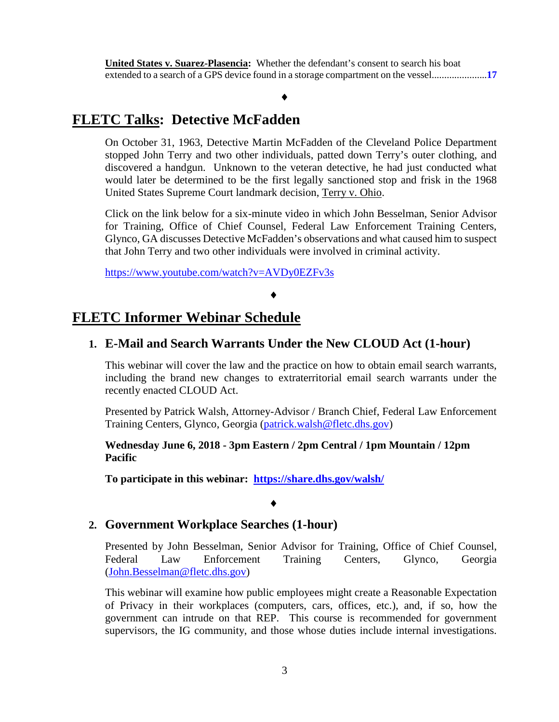### ♦

## **FLETC Talks: Detective McFadden**

On October 31, 1963, Detective Martin McFadden of the Cleveland Police Department stopped John Terry and two other individuals, patted down Terry's outer clothing, and discovered a handgun. Unknown to the veteran detective, he had just conducted what would later be determined to be the first legally sanctioned stop and frisk in the 1968 United States Supreme Court landmark decision, Terry v. Ohio.

Click on the link below for a six-minute video in which John Besselman, Senior Advisor for Training, Office of Chief Counsel, Federal Law Enforcement Training Centers, Glynco, GA discusses Detective McFadden's observations and what caused him to suspect that John Terry and two other individuals were involved in criminal activity.

<https://www.youtube.com/watch?v=AVDy0EZFv3s>

#### ♦

### **FLETC Informer Webinar Schedule**

### **1. E-Mail and Search Warrants Under the New CLOUD Act (1-hour)**

This webinar will cover the law and the practice on how to obtain email search warrants, including the brand new changes to extraterritorial email search warrants under the recently enacted CLOUD Act.

Presented by Patrick Walsh, Attorney-Advisor / Branch Chief, Federal Law Enforcement Training Centers, Glynco, Georgia [\(patrick.walsh@fletc.dhs.gov\)](mailto:patrick.walsh@fletc.dhs.gov)

### **Wednesday June 6, 2018 - 3pm Eastern / 2pm Central / 1pm Mountain / 12pm Pacific**

**To participate in this webinar: <https://share.dhs.gov/walsh/>**

#### ♦

### **2. Government Workplace Searches (1-hour)**

Presented by John Besselman, Senior Advisor for Training, Office of Chief Counsel, Federal Law Enforcement Training Centers, Glynco, Georgia [\(John.Besselman@fletc.dhs.gov\)](mailto:John.Besselman@fletc.dhs.gov)

This webinar will examine how public employees might create a Reasonable Expectation of Privacy in their workplaces (computers, cars, offices, etc.), and, if so, how the government can intrude on that REP. This course is recommended for government supervisors, the IG community, and those whose duties include internal investigations.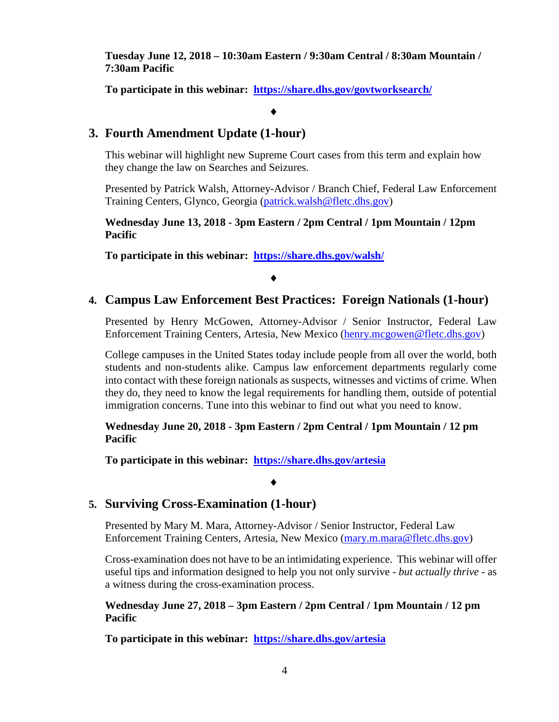**Tuesday June 12, 2018 – 10:30am Eastern / 9:30am Central / 8:30am Mountain / 7:30am Pacific**

**To participate in this webinar: <https://share.dhs.gov/govtworksearch/>**

#### ♦

### **3. Fourth Amendment Update (1-hour)**

This webinar will highlight new Supreme Court cases from this term and explain how they change the law on Searches and Seizures.

Presented by Patrick Walsh, Attorney-Advisor / Branch Chief, Federal Law Enforcement Training Centers, Glynco, Georgia [\(patrick.walsh@fletc.dhs.gov\)](mailto:patrick.walsh@fletc.dhs.gov)

**Wednesday June 13, 2018 - 3pm Eastern / 2pm Central / 1pm Mountain / 12pm Pacific**

**To participate in this webinar: <https://share.dhs.gov/walsh/>**

### ♦

### **4. Campus Law Enforcement Best Practices: Foreign Nationals (1-hour)**

Presented by Henry McGowen, Attorney-Advisor / Senior Instructor, Federal Law Enforcement Training Centers, Artesia, New Mexico [\(henry.mcgowen@fletc.dhs.gov\)](mailto:henry.mcgowen@fletc.dhs.gov)

College campuses in the United States today include people from all over the world, both students and non-students alike. Campus law enforcement departments regularly come into contact with these foreign nationals as suspects, witnesses and victims of crime. When they do, they need to know the legal requirements for handling them, outside of potential immigration concerns. Tune into this webinar to find out what you need to know.

**Wednesday June 20, 2018 - 3pm Eastern / 2pm Central / 1pm Mountain / 12 pm Pacific**

**To participate in this webinar: <https://share.dhs.gov/artesia>**

### **5. Surviving Cross-Examination (1-hour)**

Presented by Mary M. Mara, Attorney-Advisor / Senior Instructor, Federal Law Enforcement Training Centers, Artesia, New Mexico [\(mary.m.mara@fletc.dhs.gov\)](mailto:mary.m.mara@fletc.dhs.gov)

♦

Cross-examination does not have to be an intimidating experience. This webinar will offer useful tips and information designed to help you not only survive - *but actually thrive* - as a witness during the cross-examination process.

**Wednesday June 27, 2018 – 3pm Eastern / 2pm Central / 1pm Mountain / 12 pm Pacific**

**To participate in this webinar: <https://share.dhs.gov/artesia>**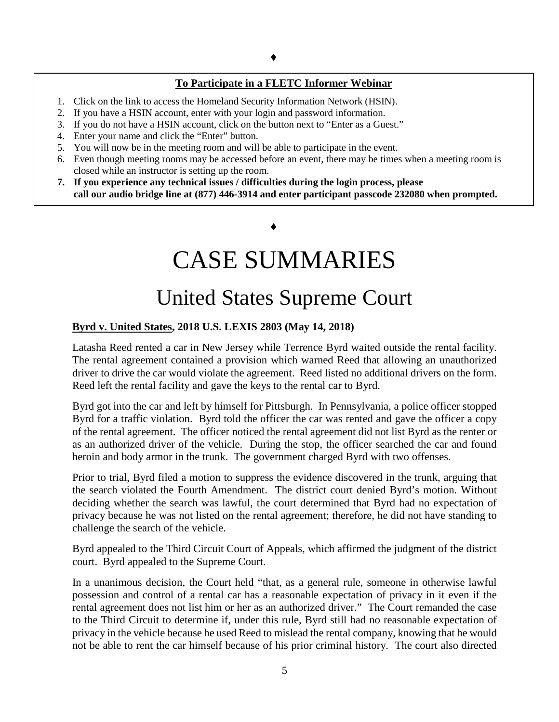### **To Participate in a FLETC Informer Webinar**

- 1. Click on the link to access the Homeland Security Information Network (HSIN).
- 2. If you have a HSIN account, enter with your login and password information.
- 3. If you do not have a HSIN account, click on the button next to "Enter as a Guest."
- 4. Enter your name and click the "Enter" button.
- 5. You will now be in the meeting room and will be able to participate in the event.
- 6. Even though meeting rooms may be accessed before an event, there may be times when a meeting room is closed while an instructor is setting up the room.
- **7. If you experience any technical issues / difficulties during the login process, please call our audio bridge line at (877) 446-3914 and enter participant passcode 232080 when prompted.**

♦

# CASE SUMMARIES

# United States Supreme Court

### <span id="page-4-1"></span><span id="page-4-0"></span>**Byrd v. United States, 2018 U.S. LEXIS 2803 (May 14, 2018)**

Latasha Reed rented a car in New Jersey while Terrence Byrd waited outside the rental facility. The rental agreement contained a provision which warned Reed that allowing an unauthorized driver to drive the car would violate the agreement. Reed listed no additional drivers on the form. Reed left the rental facility and gave the keys to the rental car to Byrd.

Byrd got into the car and left by himself for Pittsburgh. In Pennsylvania, a police officer stopped Byrd for a traffic violation. Byrd told the officer the car was rented and gave the officer a copy of the rental agreement. The officer noticed the rental agreement did not list Byrd as the renter or as an authorized driver of the vehicle. During the stop, the officer searched the car and found heroin and body armor in the trunk. The government charged Byrd with two offenses.

Prior to trial, Byrd filed a motion to suppress the evidence discovered in the trunk, arguing that the search violated the Fourth Amendment. The district court denied Byrd's motion. Without deciding whether the search was lawful, the court determined that Byrd had no expectation of privacy because he was not listed on the rental agreement; therefore, he did not have standing to challenge the search of the vehicle.

Byrd appealed to the Third Circuit Court of Appeals, which affirmed the judgment of the district court. Byrd appealed to the Supreme Court.

In a unanimous decision, the Court held "that, as a general rule, someone in otherwise lawful possession and control of a rental car has a reasonable expectation of privacy in it even if the rental agreement does not list him or her as an authorized driver." The Court remanded the case to the Third Circuit to determine if, under this rule, Byrd still had no reasonable expectation of privacy in the vehicle because he used Reed to mislead the rental company, knowing that he would not be able to rent the car himself because of his prior criminal history. The court also directed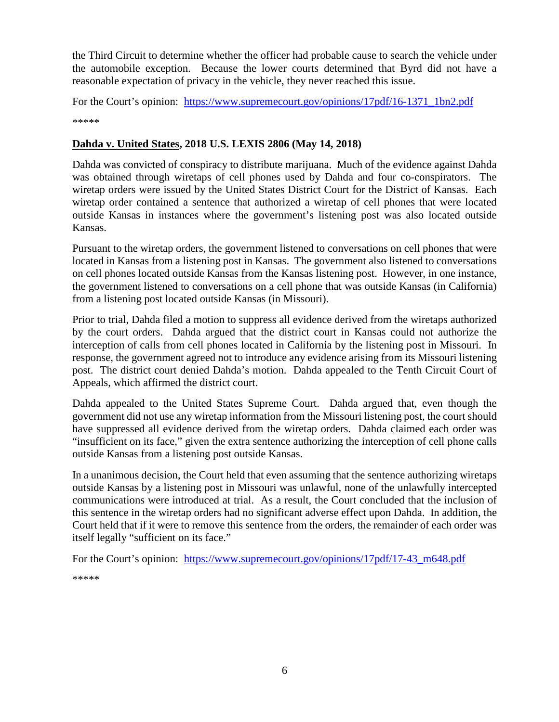the Third Circuit to determine whether the officer had probable cause to search the vehicle under the automobile exception. Because the lower courts determined that Byrd did not have a reasonable expectation of privacy in the vehicle, they never reached this issue.

For the Court's opinion: [https://www.supremecourt.gov/opinions/17pdf/16-1371\\_1bn2.pdf](https://www.supremecourt.gov/opinions/17pdf/16-1371_1bn2.pdf)

\*\*\*\*\*

### <span id="page-5-0"></span>**Dahda v. United States, 2018 U.S. LEXIS 2806 (May 14, 2018)**

Dahda was convicted of conspiracy to distribute marijuana. Much of the evidence against Dahda was obtained through wiretaps of cell phones used by Dahda and four co-conspirators. The wiretap orders were issued by the United States District Court for the District of Kansas. Each wiretap order contained a sentence that authorized a wiretap of cell phones that were located outside Kansas in instances where the government's listening post was also located outside Kansas.

Pursuant to the wiretap orders, the government listened to conversations on cell phones that were located in Kansas from a listening post in Kansas. The government also listened to conversations on cell phones located outside Kansas from the Kansas listening post. However, in one instance, the government listened to conversations on a cell phone that was outside Kansas (in California) from a listening post located outside Kansas (in Missouri).

Prior to trial, Dahda filed a motion to suppress all evidence derived from the wiretaps authorized by the court orders. Dahda argued that the district court in Kansas could not authorize the interception of calls from cell phones located in California by the listening post in Missouri. In response, the government agreed not to introduce any evidence arising from its Missouri listening post. The district court denied Dahda's motion. Dahda appealed to the Tenth Circuit Court of Appeals, which affirmed the district court.

Dahda appealed to the United States Supreme Court. Dahda argued that, even though the government did not use any wiretap information from the Missouri listening post, the court should have suppressed all evidence derived from the wiretap orders. Dahda claimed each order was "insufficient on its face," given the extra sentence authorizing the interception of cell phone calls outside Kansas from a listening post outside Kansas.

In a unanimous decision, the Court held that even assuming that the sentence authorizing wiretaps outside Kansas by a listening post in Missouri was unlawful, none of the unlawfully intercepted communications were introduced at trial. As a result, the Court concluded that the inclusion of this sentence in the wiretap orders had no significant adverse effect upon Dahda. In addition, the Court held that if it were to remove this sentence from the orders, the remainder of each order was itself legally "sufficient on its face."

For the Court's opinion: [https://www.supremecourt.gov/opinions/17pdf/17-43\\_m648.pdf](https://www.supremecourt.gov/opinions/17pdf/17-43_m648.pdf)

\*\*\*\*\*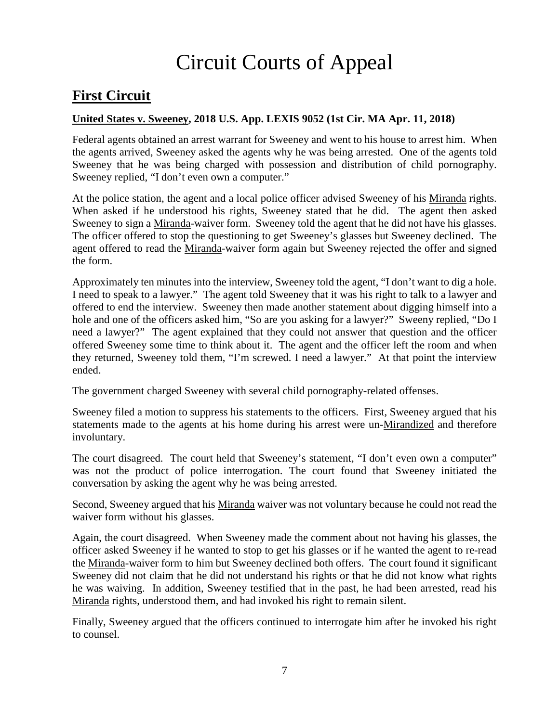# Circuit Courts of Appeal

## <span id="page-6-0"></span>**First Circuit**

### <span id="page-6-1"></span>**United States v. Sweeney, 2018 U.S. App. LEXIS 9052 (1st Cir. MA Apr. 11, 2018)**

Federal agents obtained an arrest warrant for Sweeney and went to his house to arrest him. When the agents arrived, Sweeney asked the agents why he was being arrested. One of the agents told Sweeney that he was being charged with possession and distribution of child pornography. Sweeney replied, "I don't even own a computer."

At the police station, the agent and a local police officer advised Sweeney of his Miranda rights. When asked if he understood his rights, Sweeney stated that he did. The agent then asked Sweeney to sign a Miranda-waiver form. Sweeney told the agent that he did not have his glasses. The officer offered to stop the questioning to get Sweeney's glasses but Sweeney declined. The agent offered to read the Miranda-waiver form again but Sweeney rejected the offer and signed the form.

Approximately ten minutes into the interview, Sweeney told the agent, "I don't want to dig a hole. I need to speak to a lawyer." The agent told Sweeney that it was his right to talk to a lawyer and offered to end the interview. Sweeney then made another statement about digging himself into a hole and one of the officers asked him, "So are you asking for a lawyer?" Sweeny replied, "Do I need a lawyer?" The agent explained that they could not answer that question and the officer offered Sweeney some time to think about it. The agent and the officer left the room and when they returned, Sweeney told them, "I'm screwed. I need a lawyer." At that point the interview ended.

The government charged Sweeney with several child pornography-related offenses.

Sweeney filed a motion to suppress his statements to the officers. First, Sweeney argued that his statements made to the agents at his home during his arrest were un-Mirandized and therefore involuntary.

The court disagreed. The court held that Sweeney's statement, "I don't even own a computer" was not the product of police interrogation. The court found that Sweeney initiated the conversation by asking the agent why he was being arrested.

Second, Sweeney argued that his Miranda waiver was not voluntary because he could not read the waiver form without his glasses.

Again, the court disagreed. When Sweeney made the comment about not having his glasses, the officer asked Sweeney if he wanted to stop to get his glasses or if he wanted the agent to re-read the Miranda-waiver form to him but Sweeney declined both offers. The court found it significant Sweeney did not claim that he did not understand his rights or that he did not know what rights he was waiving. In addition, Sweeney testified that in the past, he had been arrested, read his Miranda rights, understood them, and had invoked his right to remain silent.

Finally, Sweeney argued that the officers continued to interrogate him after he invoked his right to counsel.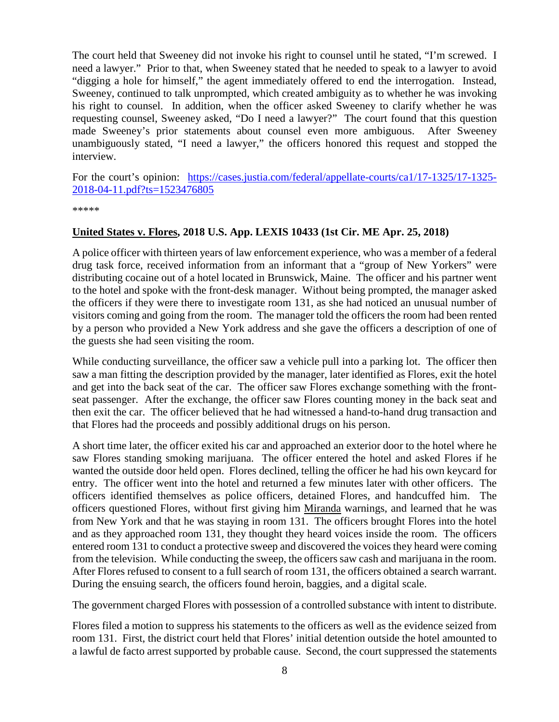The court held that Sweeney did not invoke his right to counsel until he stated, "I'm screwed. I need a lawyer." Prior to that, when Sweeney stated that he needed to speak to a lawyer to avoid "digging a hole for himself," the agent immediately offered to end the interrogation. Instead, Sweeney, continued to talk unprompted, which created ambiguity as to whether he was invoking his right to counsel. In addition, when the officer asked Sweeney to clarify whether he was requesting counsel, Sweeney asked, "Do I need a lawyer?" The court found that this question made Sweeney's prior statements about counsel even more ambiguous. After Sweeney unambiguously stated, "I need a lawyer," the officers honored this request and stopped the interview.

For the court's opinion: [https://cases.justia.com/federal/appellate-courts/ca1/17-1325/17-1325-](https://cases.justia.com/federal/appellate-courts/ca1/17-1325/17-1325-2018-04-11.pdf?ts=1523476805) [2018-04-11.pdf?ts=1523476805](https://cases.justia.com/federal/appellate-courts/ca1/17-1325/17-1325-2018-04-11.pdf?ts=1523476805)

\*\*\*\*\*

### <span id="page-7-0"></span>**United States v. Flores, 2018 U.S. App. LEXIS 10433 (1st Cir. ME Apr. 25, 2018)**

A police officer with thirteen years of law enforcement experience, who was a member of a federal drug task force, received information from an informant that a "group of New Yorkers" were distributing cocaine out of a hotel located in Brunswick, Maine. The officer and his partner went to the hotel and spoke with the front-desk manager. Without being prompted, the manager asked the officers if they were there to investigate room 131, as she had noticed an unusual number of visitors coming and going from the room. The manager told the officers the room had been rented by a person who provided a New York address and she gave the officers a description of one of the guests she had seen visiting the room.

While conducting surveillance, the officer saw a vehicle pull into a parking lot. The officer then saw a man fitting the description provided by the manager, later identified as Flores, exit the hotel and get into the back seat of the car. The officer saw Flores exchange something with the frontseat passenger. After the exchange, the officer saw Flores counting money in the back seat and then exit the car. The officer believed that he had witnessed a hand-to-hand drug transaction and that Flores had the proceeds and possibly additional drugs on his person.

A short time later, the officer exited his car and approached an exterior door to the hotel where he saw Flores standing smoking marijuana. The officer entered the hotel and asked Flores if he wanted the outside door held open. Flores declined, telling the officer he had his own keycard for entry. The officer went into the hotel and returned a few minutes later with other officers. The officers identified themselves as police officers, detained Flores, and handcuffed him. The officers questioned Flores, without first giving him Miranda warnings, and learned that he was from New York and that he was staying in room 131. The officers brought Flores into the hotel and as they approached room 131, they thought they heard voices inside the room. The officers entered room 131 to conduct a protective sweep and discovered the voices they heard were coming from the television. While conducting the sweep, the officers saw cash and marijuana in the room. After Flores refused to consent to a full search of room 131, the officers obtained a search warrant. During the ensuing search, the officers found heroin, baggies, and a digital scale.

The government charged Flores with possession of a controlled substance with intent to distribute.

Flores filed a motion to suppress his statements to the officers as well as the evidence seized from room 131. First, the district court held that Flores' initial detention outside the hotel amounted to a lawful de facto arrest supported by probable cause. Second, the court suppressed the statements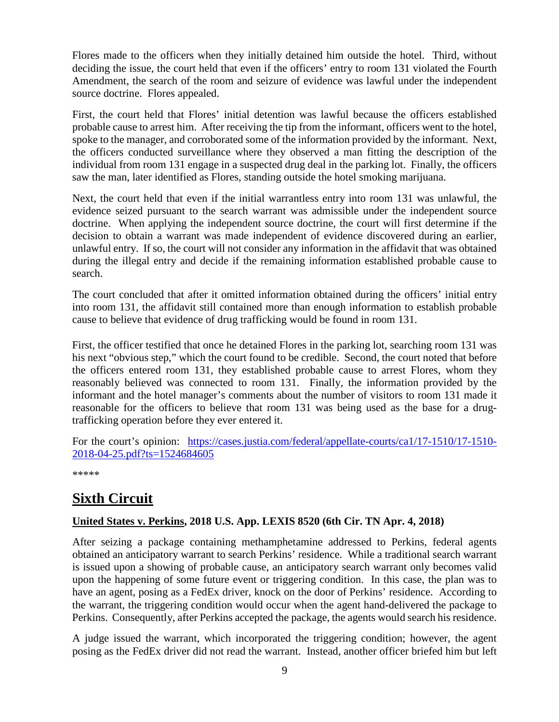Flores made to the officers when they initially detained him outside the hotel. Third, without deciding the issue, the court held that even if the officers' entry to room 131 violated the Fourth Amendment, the search of the room and seizure of evidence was lawful under the independent source doctrine. Flores appealed.

First, the court held that Flores' initial detention was lawful because the officers established probable cause to arrest him. After receiving the tip from the informant, officers went to the hotel, spoke to the manager, and corroborated some of the information provided by the informant. Next, the officers conducted surveillance where they observed a man fitting the description of the individual from room 131 engage in a suspected drug deal in the parking lot. Finally, the officers saw the man, later identified as Flores, standing outside the hotel smoking marijuana.

Next, the court held that even if the initial warrantless entry into room 131 was unlawful, the evidence seized pursuant to the search warrant was admissible under the independent source doctrine. When applying the independent source doctrine, the court will first determine if the decision to obtain a warrant was made independent of evidence discovered during an earlier, unlawful entry. If so, the court will not consider any information in the affidavit that was obtained during the illegal entry and decide if the remaining information established probable cause to search.

The court concluded that after it omitted information obtained during the officers' initial entry into room 131, the affidavit still contained more than enough information to establish probable cause to believe that evidence of drug trafficking would be found in room 131.

First, the officer testified that once he detained Flores in the parking lot, searching room 131 was his next "obvious step," which the court found to be credible. Second, the court noted that before the officers entered room 131, they established probable cause to arrest Flores, whom they reasonably believed was connected to room 131. Finally, the information provided by the informant and the hotel manager's comments about the number of visitors to room 131 made it reasonable for the officers to believe that room 131 was being used as the base for a drugtrafficking operation before they ever entered it.

For the court's opinion: [https://cases.justia.com/federal/appellate-courts/ca1/17-1510/17-1510-](https://cases.justia.com/federal/appellate-courts/ca1/17-1510/17-1510-2018-04-25.pdf?ts=1524684605) [2018-04-25.pdf?ts=1524684605](https://cases.justia.com/federal/appellate-courts/ca1/17-1510/17-1510-2018-04-25.pdf?ts=1524684605)

\*\*\*\*\*

# <span id="page-8-0"></span>**Sixth Circuit**

### <span id="page-8-1"></span>**United States v. Perkins, 2018 U.S. App. LEXIS 8520 (6th Cir. TN Apr. 4, 2018)**

After seizing a package containing methamphetamine addressed to Perkins, federal agents obtained an anticipatory warrant to search Perkins' residence. While a traditional search warrant is issued upon a showing of probable cause, an anticipatory search warrant only becomes valid upon the happening of some future event or triggering condition. In this case, the plan was to have an agent, posing as a FedEx driver, knock on the door of Perkins' residence. According to the warrant, the triggering condition would occur when the agent hand-delivered the package to Perkins. Consequently, after Perkins accepted the package, the agents would search his residence.

A judge issued the warrant, which incorporated the triggering condition; however, the agent posing as the FedEx driver did not read the warrant. Instead, another officer briefed him but left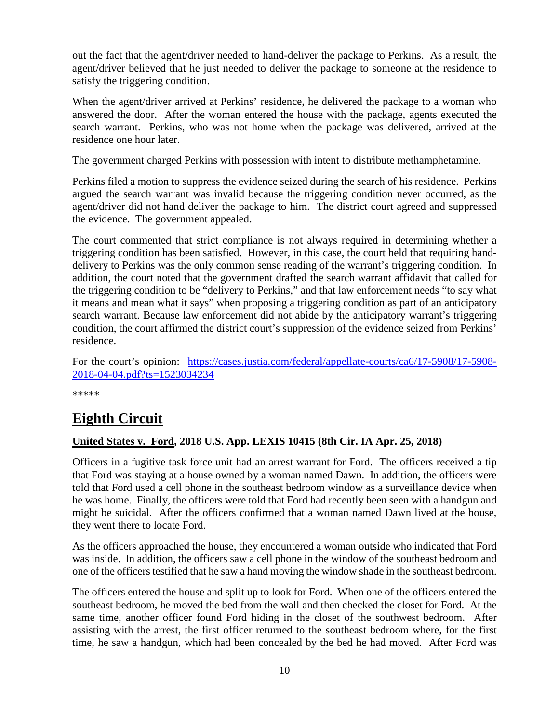out the fact that the agent/driver needed to hand-deliver the package to Perkins. As a result, the agent/driver believed that he just needed to deliver the package to someone at the residence to satisfy the triggering condition.

When the agent/driver arrived at Perkins' residence, he delivered the package to a woman who answered the door. After the woman entered the house with the package, agents executed the search warrant. Perkins, who was not home when the package was delivered, arrived at the residence one hour later.

The government charged Perkins with possession with intent to distribute methamphetamine.

Perkins filed a motion to suppress the evidence seized during the search of his residence. Perkins argued the search warrant was invalid because the triggering condition never occurred, as the agent/driver did not hand deliver the package to him. The district court agreed and suppressed the evidence. The government appealed.

The court commented that strict compliance is not always required in determining whether a triggering condition has been satisfied. However, in this case, the court held that requiring handdelivery to Perkins was the only common sense reading of the warrant's triggering condition. In addition, the court noted that the government drafted the search warrant affidavit that called for the triggering condition to be "delivery to Perkins," and that law enforcement needs "to say what it means and mean what it says" when proposing a triggering condition as part of an anticipatory search warrant. Because law enforcement did not abide by the anticipatory warrant's triggering condition, the court affirmed the district court's suppression of the evidence seized from Perkins' residence.

For the court's opinion: [https://cases.justia.com/federal/appellate-courts/ca6/17-5908/17-5908-](https://cases.justia.com/federal/appellate-courts/ca6/17-5908/17-5908-2018-04-04.pdf?ts=1523034234) [2018-04-04.pdf?ts=1523034234](https://cases.justia.com/federal/appellate-courts/ca6/17-5908/17-5908-2018-04-04.pdf?ts=1523034234)

\*\*\*\*\*

### <span id="page-9-0"></span>**Eighth Circuit**

### <span id="page-9-1"></span>**United States v. Ford, 2018 U.S. App. LEXIS 10415 (8th Cir. IA Apr. 25, 2018)**

Officers in a fugitive task force unit had an arrest warrant for Ford. The officers received a tip that Ford was staying at a house owned by a woman named Dawn. In addition, the officers were told that Ford used a cell phone in the southeast bedroom window as a surveillance device when he was home. Finally, the officers were told that Ford had recently been seen with a handgun and might be suicidal. After the officers confirmed that a woman named Dawn lived at the house, they went there to locate Ford.

As the officers approached the house, they encountered a woman outside who indicated that Ford was inside. In addition, the officers saw a cell phone in the window of the southeast bedroom and one of the officers testified that he saw a hand moving the window shade in the southeast bedroom.

The officers entered the house and split up to look for Ford. When one of the officers entered the southeast bedroom, he moved the bed from the wall and then checked the closet for Ford. At the same time, another officer found Ford hiding in the closet of the southwest bedroom. After assisting with the arrest, the first officer returned to the southeast bedroom where, for the first time, he saw a handgun, which had been concealed by the bed he had moved. After Ford was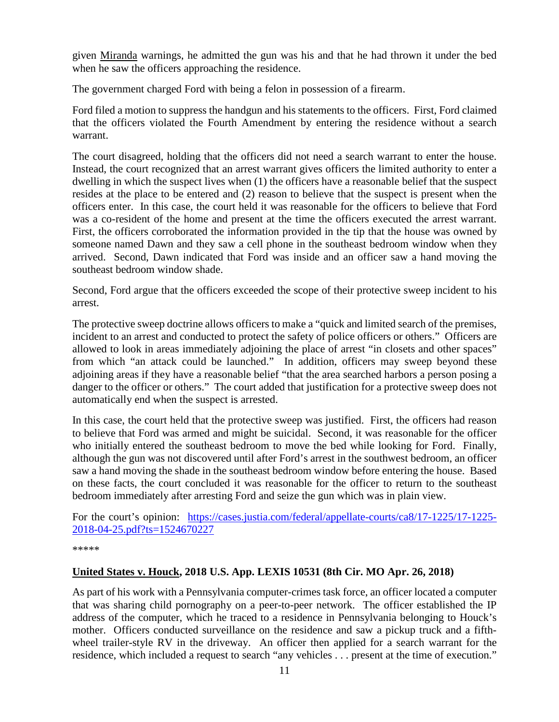given Miranda warnings, he admitted the gun was his and that he had thrown it under the bed when he saw the officers approaching the residence.

The government charged Ford with being a felon in possession of a firearm.

Ford filed a motion to suppress the handgun and his statements to the officers. First, Ford claimed that the officers violated the Fourth Amendment by entering the residence without a search warrant.

The court disagreed, holding that the officers did not need a search warrant to enter the house. Instead, the court recognized that an arrest warrant gives officers the limited authority to enter a dwelling in which the suspect lives when (1) the officers have a reasonable belief that the suspect resides at the place to be entered and (2) reason to believe that the suspect is present when the officers enter. In this case, the court held it was reasonable for the officers to believe that Ford was a co-resident of the home and present at the time the officers executed the arrest warrant. First, the officers corroborated the information provided in the tip that the house was owned by someone named Dawn and they saw a cell phone in the southeast bedroom window when they arrived. Second, Dawn indicated that Ford was inside and an officer saw a hand moving the southeast bedroom window shade.

Second, Ford argue that the officers exceeded the scope of their protective sweep incident to his arrest.

The protective sweep doctrine allows officers to make a "quick and limited search of the premises, incident to an arrest and conducted to protect the safety of police officers or others." Officers are allowed to look in areas immediately adjoining the place of arrest "in closets and other spaces" from which "an attack could be launched." In addition, officers may sweep beyond these adjoining areas if they have a reasonable belief "that the area searched harbors a person posing a danger to the officer or others." The court added that justification for a protective sweep does not automatically end when the suspect is arrested.

In this case, the court held that the protective sweep was justified. First, the officers had reason to believe that Ford was armed and might be suicidal. Second, it was reasonable for the officer who initially entered the southeast bedroom to move the bed while looking for Ford. Finally, although the gun was not discovered until after Ford's arrest in the southwest bedroom, an officer saw a hand moving the shade in the southeast bedroom window before entering the house. Based on these facts, the court concluded it was reasonable for the officer to return to the southeast bedroom immediately after arresting Ford and seize the gun which was in plain view.

For the court's opinion: [https://cases.justia.com/federal/appellate-courts/ca8/17-1225/17-1225-](https://cases.justia.com/federal/appellate-courts/ca8/17-1225/17-1225-2018-04-25.pdf?ts=1524670227) [2018-04-25.pdf?ts=1524670227](https://cases.justia.com/federal/appellate-courts/ca8/17-1225/17-1225-2018-04-25.pdf?ts=1524670227)

\*\*\*\*\*

### <span id="page-10-0"></span>**United States v. Houck, 2018 U.S. App. LEXIS 10531 (8th Cir. MO Apr. 26, 2018)**

As part of his work with a Pennsylvania computer-crimes task force, an officer located a computer that was sharing child pornography on a peer-to-peer network. The officer established the IP address of the computer, which he traced to a residence in Pennsylvania belonging to Houck's mother. Officers conducted surveillance on the residence and saw a pickup truck and a fifthwheel trailer-style RV in the driveway. An officer then applied for a search warrant for the residence, which included a request to search "any vehicles . . . present at the time of execution."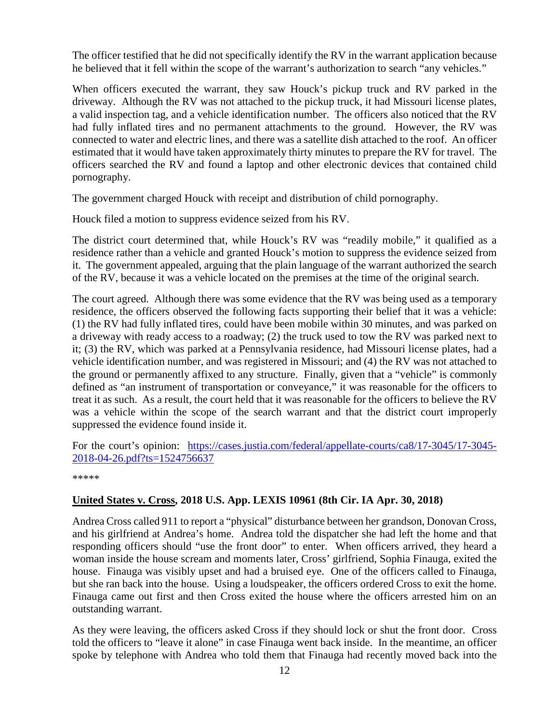The officer testified that he did not specifically identify the RV in the warrant application because he believed that it fell within the scope of the warrant's authorization to search "any vehicles."

When officers executed the warrant, they saw Houck's pickup truck and RV parked in the driveway. Although the RV was not attached to the pickup truck, it had Missouri license plates, a valid inspection tag, and a vehicle identification number. The officers also noticed that the RV had fully inflated tires and no permanent attachments to the ground. However, the RV was connected to water and electric lines, and there was a satellite dish attached to the roof. An officer estimated that it would have taken approximately thirty minutes to prepare the RV for travel. The officers searched the RV and found a laptop and other electronic devices that contained child pornography.

The government charged Houck with receipt and distribution of child pornography.

Houck filed a motion to suppress evidence seized from his RV.

The district court determined that, while Houck's RV was "readily mobile," it qualified as a residence rather than a vehicle and granted Houck's motion to suppress the evidence seized from it. The government appealed, arguing that the plain language of the warrant authorized the search of the RV, because it was a vehicle located on the premises at the time of the original search.

The court agreed. Although there was some evidence that the RV was being used as a temporary residence, the officers observed the following facts supporting their belief that it was a vehicle: (1) the RV had fully inflated tires, could have been mobile within 30 minutes, and was parked on a driveway with ready access to a roadway; (2) the truck used to tow the RV was parked next to it; (3) the RV, which was parked at a Pennsylvania residence, had Missouri license plates, had a vehicle identification number, and was registered in Missouri; and (4) the RV was not attached to the ground or permanently affixed to any structure. Finally, given that a "vehicle" is commonly defined as "an instrument of transportation or conveyance," it was reasonable for the officers to treat it as such. As a result, the court held that it was reasonable for the officers to believe the RV was a vehicle within the scope of the search warrant and that the district court improperly suppressed the evidence found inside it.

For the court's opinion: [https://cases.justia.com/federal/appellate-courts/ca8/17-3045/17-3045-](https://cases.justia.com/federal/appellate-courts/ca8/17-3045/17-3045-2018-04-26.pdf?ts=1524756637) [2018-04-26.pdf?ts=1524756637](https://cases.justia.com/federal/appellate-courts/ca8/17-3045/17-3045-2018-04-26.pdf?ts=1524756637)

\*\*\*\*\*

### <span id="page-11-0"></span>**United States v. Cross, 2018 U.S. App. LEXIS 10961 (8th Cir. IA Apr. 30, 2018)**

Andrea Cross called 911 to report a "physical" disturbance between her grandson, Donovan Cross, and his girlfriend at Andrea's home. Andrea told the dispatcher she had left the home and that responding officers should "use the front door" to enter. When officers arrived, they heard a woman inside the house scream and moments later, Cross' girlfriend, Sophia Finauga, exited the house. Finauga was visibly upset and had a bruised eye. One of the officers called to Finauga, but she ran back into the house. Using a loudspeaker, the officers ordered Cross to exit the home. Finauga came out first and then Cross exited the house where the officers arrested him on an outstanding warrant.

As they were leaving, the officers asked Cross if they should lock or shut the front door. Cross told the officers to "leave it alone" in case Finauga went back inside. In the meantime, an officer spoke by telephone with Andrea who told them that Finauga had recently moved back into the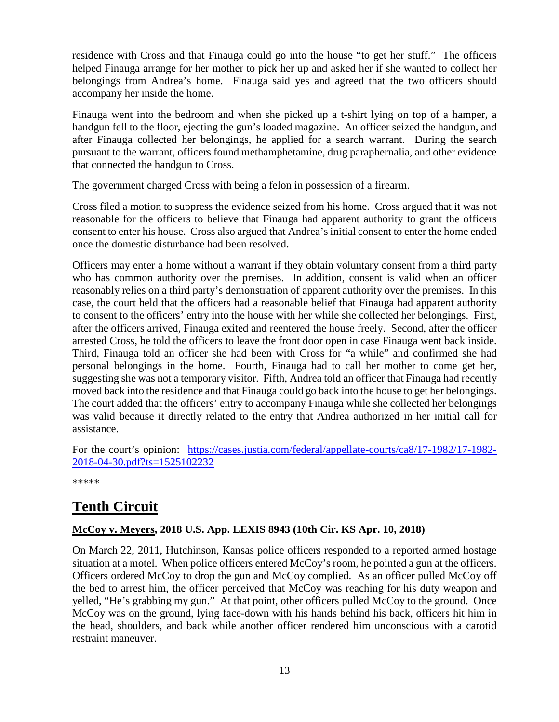residence with Cross and that Finauga could go into the house "to get her stuff." The officers helped Finauga arrange for her mother to pick her up and asked her if she wanted to collect her belongings from Andrea's home. Finauga said yes and agreed that the two officers should accompany her inside the home.

Finauga went into the bedroom and when she picked up a t-shirt lying on top of a hamper, a handgun fell to the floor, ejecting the gun's loaded magazine. An officer seized the handgun, and after Finauga collected her belongings, he applied for a search warrant. During the search pursuant to the warrant, officers found methamphetamine, drug paraphernalia, and other evidence that connected the handgun to Cross.

The government charged Cross with being a felon in possession of a firearm.

Cross filed a motion to suppress the evidence seized from his home. Cross argued that it was not reasonable for the officers to believe that Finauga had apparent authority to grant the officers consent to enter his house. Cross also argued that Andrea's initial consent to enter the home ended once the domestic disturbance had been resolved.

Officers may enter a home without a warrant if they obtain voluntary consent from a third party who has common authority over the premises. In addition, consent is valid when an officer reasonably relies on a third party's demonstration of apparent authority over the premises. In this case, the court held that the officers had a reasonable belief that Finauga had apparent authority to consent to the officers' entry into the house with her while she collected her belongings. First, after the officers arrived, Finauga exited and reentered the house freely. Second, after the officer arrested Cross, he told the officers to leave the front door open in case Finauga went back inside. Third, Finauga told an officer she had been with Cross for "a while" and confirmed she had personal belongings in the home. Fourth, Finauga had to call her mother to come get her, suggesting she was not a temporary visitor. Fifth, Andrea told an officer that Finauga had recently moved back into the residence and that Finauga could go back into the house to get her belongings. The court added that the officers' entry to accompany Finauga while she collected her belongings was valid because it directly related to the entry that Andrea authorized in her initial call for assistance.

For the court's opinion: [https://cases.justia.com/federal/appellate-courts/ca8/17-1982/17-1982-](https://cases.justia.com/federal/appellate-courts/ca8/17-1982/17-1982-2018-04-30.pdf?ts=1525102232) [2018-04-30.pdf?ts=1525102232](https://cases.justia.com/federal/appellate-courts/ca8/17-1982/17-1982-2018-04-30.pdf?ts=1525102232)

\*\*\*\*\*

### <span id="page-12-0"></span>**Tenth Circuit**

### <span id="page-12-1"></span>**McCoy v. Meyers, 2018 U.S. App. LEXIS 8943 (10th Cir. KS Apr. 10, 2018)**

On March 22, 2011, Hutchinson, Kansas police officers responded to a reported armed hostage situation at a motel. When police officers entered McCoy's room, he pointed a gun at the officers. Officers ordered McCoy to drop the gun and McCoy complied. As an officer pulled McCoy off the bed to arrest him, the officer perceived that McCoy was reaching for his duty weapon and yelled, "He's grabbing my gun." At that point, other officers pulled McCoy to the ground. Once McCoy was on the ground, lying face-down with his hands behind his back, officers hit him in the head, shoulders, and back while another officer rendered him unconscious with a carotid restraint maneuver.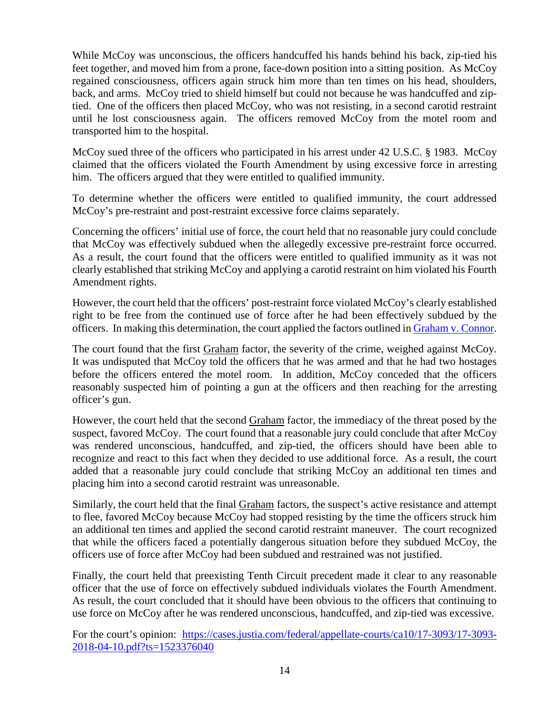While McCoy was unconscious, the officers handcuffed his hands behind his back, zip-tied his feet together, and moved him from a prone, face-down position into a sitting position. As McCoy regained consciousness, officers again struck him more than ten times on his head, shoulders, back, and arms. McCoy tried to shield himself but could not because he was handcuffed and ziptied. One of the officers then placed McCoy, who was not resisting, in a second carotid restraint until he lost consciousness again. The officers removed McCoy from the motel room and transported him to the hospital.

McCoy sued three of the officers who participated in his arrest under 42 U.S.C. § 1983. McCoy claimed that the officers violated the Fourth Amendment by using excessive force in arresting him. The officers argued that they were entitled to qualified immunity.

To determine whether the officers were entitled to qualified immunity, the court addressed McCoy's pre-restraint and post-restraint excessive force claims separately.

Concerning the officers' initial use of force, the court held that no reasonable jury could conclude that McCoy was effectively subdued when the allegedly excessive pre-restraint force occurred. As a result, the court found that the officers were entitled to qualified immunity as it was not clearly established that striking McCoy and applying a carotid restraint on him violated his Fourth Amendment rights.

However, the court held that the officers' post-restraint force violated McCoy's clearly established right to be free from the continued use of force after he had been effectively subdued by the officers. In making this determination, the court applied the factors outlined in [Graham v. Connor.](https://supreme.justia.com/cases/federal/us/490/386/case.html)

The court found that the first Graham factor, the severity of the crime, weighed against McCoy. It was undisputed that McCoy told the officers that he was armed and that he had two hostages before the officers entered the motel room. In addition, McCoy conceded that the officers reasonably suspected him of pointing a gun at the officers and then reaching for the arresting officer's gun.

However, the court held that the second Graham factor, the immediacy of the threat posed by the suspect, favored McCoy. The court found that a reasonable jury could conclude that after McCoy was rendered unconscious, handcuffed, and zip-tied, the officers should have been able to recognize and react to this fact when they decided to use additional force. As a result, the court added that a reasonable jury could conclude that striking McCoy an additional ten times and placing him into a second carotid restraint was unreasonable.

Similarly, the court held that the final Graham factors, the suspect's active resistance and attempt to flee, favored McCoy because McCoy had stopped resisting by the time the officers struck him an additional ten times and applied the second carotid restraint maneuver. The court recognized that while the officers faced a potentially dangerous situation before they subdued McCoy, the officers use of force after McCoy had been subdued and restrained was not justified.

Finally, the court held that preexisting Tenth Circuit precedent made it clear to any reasonable officer that the use of force on effectively subdued individuals violates the Fourth Amendment. As result, the court concluded that it should have been obvious to the officers that continuing to use force on McCoy after he was rendered unconscious, handcuffed, and zip-tied was excessive.

For the court's opinion: [https://cases.justia.com/federal/appellate-courts/ca10/17-3093/17-3093-](https://cases.justia.com/federal/appellate-courts/ca10/17-3093/17-3093-2018-04-10.pdf?ts=1523376040) [2018-04-10.pdf?ts=1523376040](https://cases.justia.com/federal/appellate-courts/ca10/17-3093/17-3093-2018-04-10.pdf?ts=1523376040)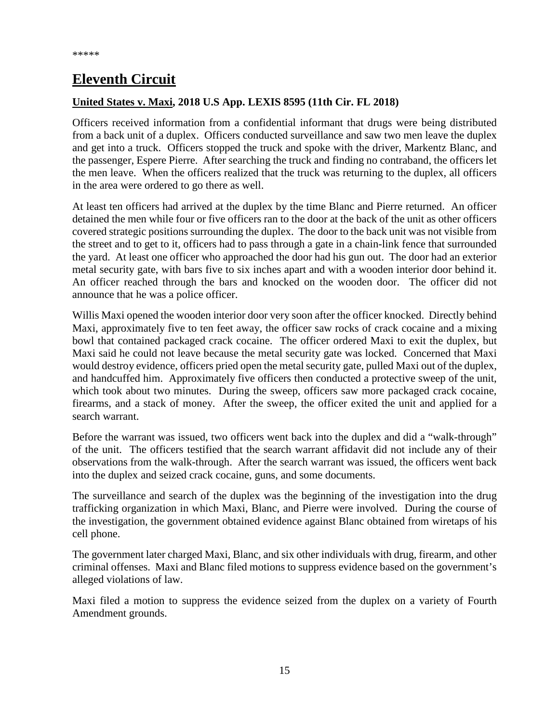# <span id="page-14-0"></span>**Eleventh Circuit**

### <span id="page-14-1"></span>**United States v. Maxi, 2018 U.S App. LEXIS 8595 (11th Cir. FL 2018)**

Officers received information from a confidential informant that drugs were being distributed from a back unit of a duplex. Officers conducted surveillance and saw two men leave the duplex and get into a truck. Officers stopped the truck and spoke with the driver, Markentz Blanc, and the passenger, Espere Pierre. After searching the truck and finding no contraband, the officers let the men leave. When the officers realized that the truck was returning to the duplex, all officers in the area were ordered to go there as well.

At least ten officers had arrived at the duplex by the time Blanc and Pierre returned. An officer detained the men while four or five officers ran to the door at the back of the unit as other officers covered strategic positions surrounding the duplex. The door to the back unit was not visible from the street and to get to it, officers had to pass through a gate in a chain-link fence that surrounded the yard. At least one officer who approached the door had his gun out. The door had an exterior metal security gate, with bars five to six inches apart and with a wooden interior door behind it. An officer reached through the bars and knocked on the wooden door. The officer did not announce that he was a police officer.

Willis Maxi opened the wooden interior door very soon after the officer knocked. Directly behind Maxi, approximately five to ten feet away, the officer saw rocks of crack cocaine and a mixing bowl that contained packaged crack cocaine. The officer ordered Maxi to exit the duplex, but Maxi said he could not leave because the metal security gate was locked. Concerned that Maxi would destroy evidence, officers pried open the metal security gate, pulled Maxi out of the duplex, and handcuffed him. Approximately five officers then conducted a protective sweep of the unit, which took about two minutes. During the sweep, officers saw more packaged crack cocaine, firearms, and a stack of money. After the sweep, the officer exited the unit and applied for a search warrant.

Before the warrant was issued, two officers went back into the duplex and did a "walk-through" of the unit. The officers testified that the search warrant affidavit did not include any of their observations from the walk-through. After the search warrant was issued, the officers went back into the duplex and seized crack cocaine, guns, and some documents.

The surveillance and search of the duplex was the beginning of the investigation into the drug trafficking organization in which Maxi, Blanc, and Pierre were involved. During the course of the investigation, the government obtained evidence against Blanc obtained from wiretaps of his cell phone.

The government later charged Maxi, Blanc, and six other individuals with drug, firearm, and other criminal offenses. Maxi and Blanc filed motions to suppress evidence based on the government's alleged violations of law.

Maxi filed a motion to suppress the evidence seized from the duplex on a variety of Fourth Amendment grounds.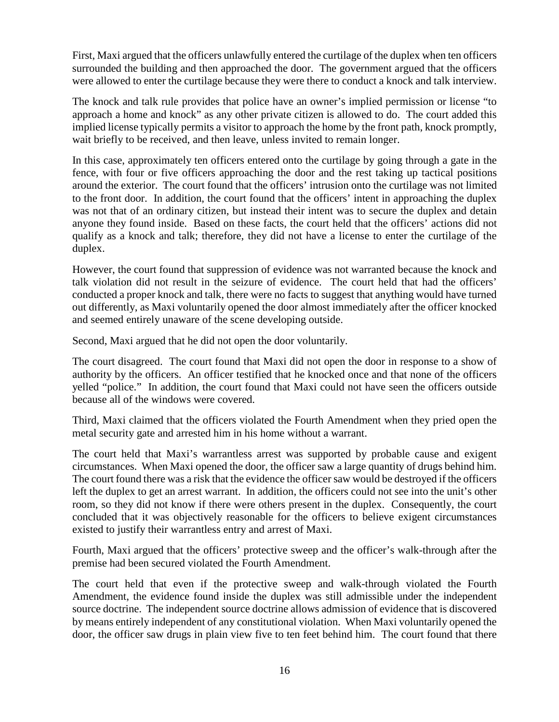First, Maxi argued that the officers unlawfully entered the curtilage of the duplex when ten officers surrounded the building and then approached the door. The government argued that the officers were allowed to enter the curtilage because they were there to conduct a knock and talk interview.

The knock and talk rule provides that police have an owner's implied permission or license "to approach a home and knock" as any other private citizen is allowed to do. The court added this implied license typically permits a visitor to approach the home by the front path, knock promptly, wait briefly to be received, and then leave, unless invited to remain longer.

In this case, approximately ten officers entered onto the curtilage by going through a gate in the fence, with four or five officers approaching the door and the rest taking up tactical positions around the exterior. The court found that the officers' intrusion onto the curtilage was not limited to the front door. In addition, the court found that the officers' intent in approaching the duplex was not that of an ordinary citizen, but instead their intent was to secure the duplex and detain anyone they found inside. Based on these facts, the court held that the officers' actions did not qualify as a knock and talk; therefore, they did not have a license to enter the curtilage of the duplex.

However, the court found that suppression of evidence was not warranted because the knock and talk violation did not result in the seizure of evidence. The court held that had the officers' conducted a proper knock and talk, there were no facts to suggest that anything would have turned out differently, as Maxi voluntarily opened the door almost immediately after the officer knocked and seemed entirely unaware of the scene developing outside.

Second, Maxi argued that he did not open the door voluntarily.

The court disagreed. The court found that Maxi did not open the door in response to a show of authority by the officers. An officer testified that he knocked once and that none of the officers yelled "police." In addition, the court found that Maxi could not have seen the officers outside because all of the windows were covered.

Third, Maxi claimed that the officers violated the Fourth Amendment when they pried open the metal security gate and arrested him in his home without a warrant.

The court held that Maxi's warrantless arrest was supported by probable cause and exigent circumstances. When Maxi opened the door, the officer saw a large quantity of drugs behind him. The court found there was a risk that the evidence the officer saw would be destroyed if the officers left the duplex to get an arrest warrant. In addition, the officers could not see into the unit's other room, so they did not know if there were others present in the duplex. Consequently, the court concluded that it was objectively reasonable for the officers to believe exigent circumstances existed to justify their warrantless entry and arrest of Maxi.

Fourth, Maxi argued that the officers' protective sweep and the officer's walk-through after the premise had been secured violated the Fourth Amendment.

The court held that even if the protective sweep and walk-through violated the Fourth Amendment, the evidence found inside the duplex was still admissible under the independent source doctrine. The independent source doctrine allows admission of evidence that is discovered by means entirely independent of any constitutional violation. When Maxi voluntarily opened the door, the officer saw drugs in plain view five to ten feet behind him. The court found that there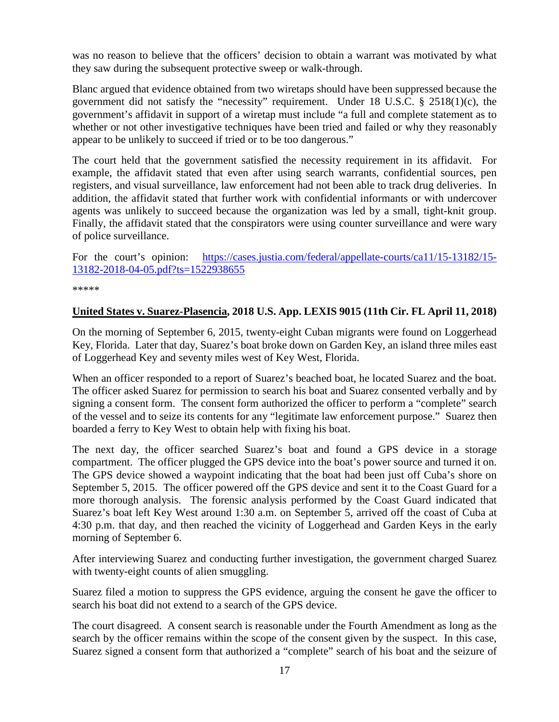was no reason to believe that the officers' decision to obtain a warrant was motivated by what they saw during the subsequent protective sweep or walk-through.

Blanc argued that evidence obtained from two wiretaps should have been suppressed because the government did not satisfy the "necessity" requirement. Under 18 U.S.C. § 2518(1)(c), the government's affidavit in support of a wiretap must include "a full and complete statement as to whether or not other investigative techniques have been tried and failed or why they reasonably appear to be unlikely to succeed if tried or to be too dangerous."

The court held that the government satisfied the necessity requirement in its affidavit. For example, the affidavit stated that even after using search warrants, confidential sources, pen registers, and visual surveillance, law enforcement had not been able to track drug deliveries. In addition, the affidavit stated that further work with confidential informants or with undercover agents was unlikely to succeed because the organization was led by a small, tight-knit group. Finally, the affidavit stated that the conspirators were using counter surveillance and were wary of police surveillance.

For the court's opinion: [https://cases.justia.com/federal/appellate-courts/ca11/15-13182/15-](https://cases.justia.com/federal/appellate-courts/ca11/15-13182/15-13182-2018-04-05.pdf?ts=1522938655) [13182-2018-04-05.pdf?ts=1522938655](https://cases.justia.com/federal/appellate-courts/ca11/15-13182/15-13182-2018-04-05.pdf?ts=1522938655)

\*\*\*\*\*

### <span id="page-16-0"></span>**United States v. Suarez-Plasencia, 2018 U.S. App. LEXIS 9015 (11th Cir. FL April 11, 2018)**

On the morning of September 6, 2015, twenty-eight Cuban migrants were found on Loggerhead Key, Florida. Later that day, Suarez's boat broke down on Garden Key, an island three miles east of Loggerhead Key and seventy miles west of Key West, Florida.

When an officer responded to a report of Suarez's beached boat, he located Suarez and the boat. The officer asked Suarez for permission to search his boat and Suarez consented verbally and by signing a consent form. The consent form authorized the officer to perform a "complete" search of the vessel and to seize its contents for any "legitimate law enforcement purpose." Suarez then boarded a ferry to Key West to obtain help with fixing his boat.

The next day, the officer searched Suarez's boat and found a GPS device in a storage compartment. The officer plugged the GPS device into the boat's power source and turned it on. The GPS device showed a waypoint indicating that the boat had been just off Cuba's shore on September 5, 2015. The officer powered off the GPS device and sent it to the Coast Guard for a more thorough analysis. The forensic analysis performed by the Coast Guard indicated that Suarez's boat left Key West around 1:30 a.m. on September 5, arrived off the coast of Cuba at 4:30 p.m. that day, and then reached the vicinity of Loggerhead and Garden Keys in the early morning of September 6.

After interviewing Suarez and conducting further investigation, the government charged Suarez with twenty-eight counts of alien smuggling.

Suarez filed a motion to suppress the GPS evidence, arguing the consent he gave the officer to search his boat did not extend to a search of the GPS device.

The court disagreed. A consent search is reasonable under the Fourth Amendment as long as the search by the officer remains within the scope of the consent given by the suspect. In this case, Suarez signed a consent form that authorized a "complete" search of his boat and the seizure of